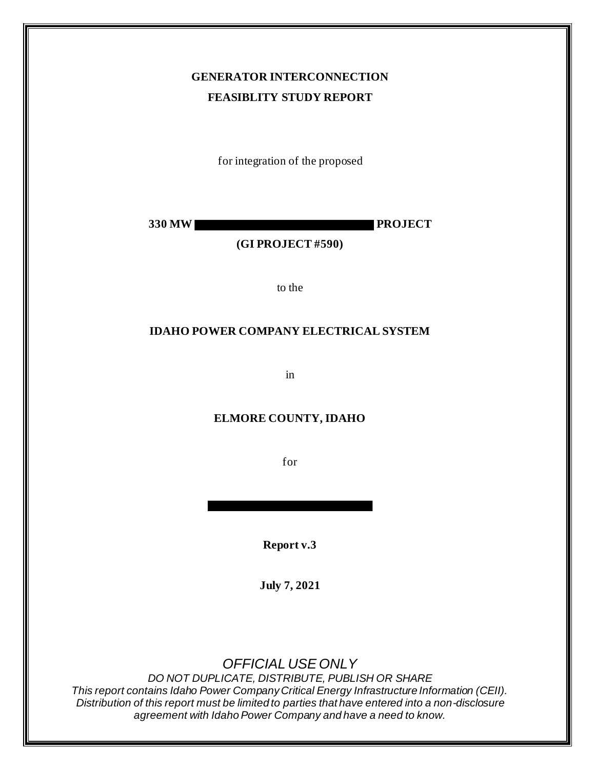# **GENERATOR INTERCONNECTION FEASIBLITY STUDY REPORT**

for integration of the proposed

**330 MW PROJECT**

### **(GI PROJECT #590)**

to the

### **IDAHO POWER COMPANY ELECTRICAL SYSTEM**

in

### **ELMORE COUNTY, IDAHO**

for

**Report v.3**

**July 7, 2021**

# *OFFICIAL USE ONLY*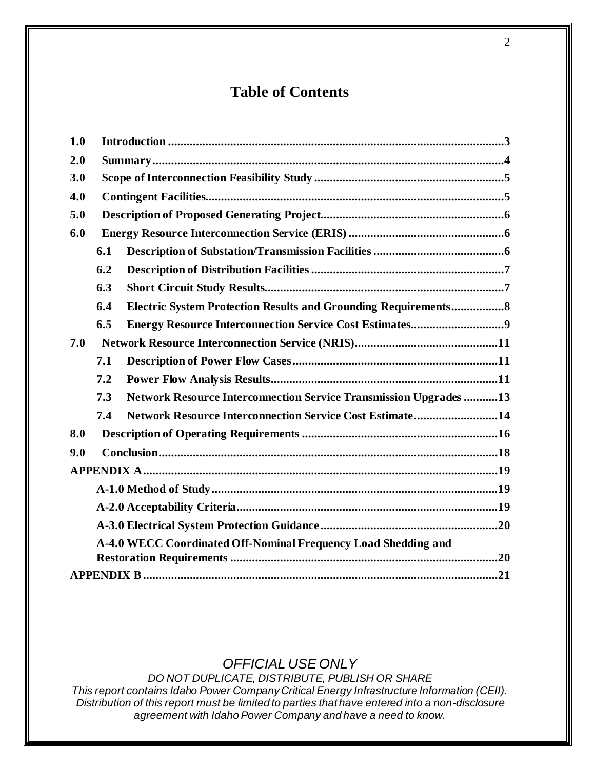# **Table of Contents**

| 1.0 |                                                                |                                                                        |  |  |  |
|-----|----------------------------------------------------------------|------------------------------------------------------------------------|--|--|--|
| 2.0 |                                                                |                                                                        |  |  |  |
| 3.0 |                                                                |                                                                        |  |  |  |
| 4.0 |                                                                |                                                                        |  |  |  |
| 5.0 |                                                                |                                                                        |  |  |  |
| 6.0 |                                                                |                                                                        |  |  |  |
|     | 6.1                                                            |                                                                        |  |  |  |
|     | 6.2                                                            |                                                                        |  |  |  |
|     | 6.3                                                            |                                                                        |  |  |  |
|     | 6.4                                                            | <b>Electric System Protection Results and Grounding Requirements 8</b> |  |  |  |
|     | 6.5                                                            |                                                                        |  |  |  |
| 7.0 |                                                                |                                                                        |  |  |  |
|     | 7.1                                                            |                                                                        |  |  |  |
|     | 7.2                                                            |                                                                        |  |  |  |
|     | 7.3                                                            | Network Resource Interconnection Service Transmission Upgrades  13     |  |  |  |
|     | 7.4                                                            | Network Resource Interconnection Service Cost Estimate14               |  |  |  |
| 8.0 |                                                                |                                                                        |  |  |  |
| 9.0 |                                                                |                                                                        |  |  |  |
|     |                                                                |                                                                        |  |  |  |
|     |                                                                |                                                                        |  |  |  |
|     |                                                                |                                                                        |  |  |  |
|     |                                                                |                                                                        |  |  |  |
|     | A-4.0 WECC Coordinated Off-Nominal Frequency Load Shedding and |                                                                        |  |  |  |
|     |                                                                |                                                                        |  |  |  |
|     |                                                                |                                                                        |  |  |  |

## *OFFICIAL USE ONLY*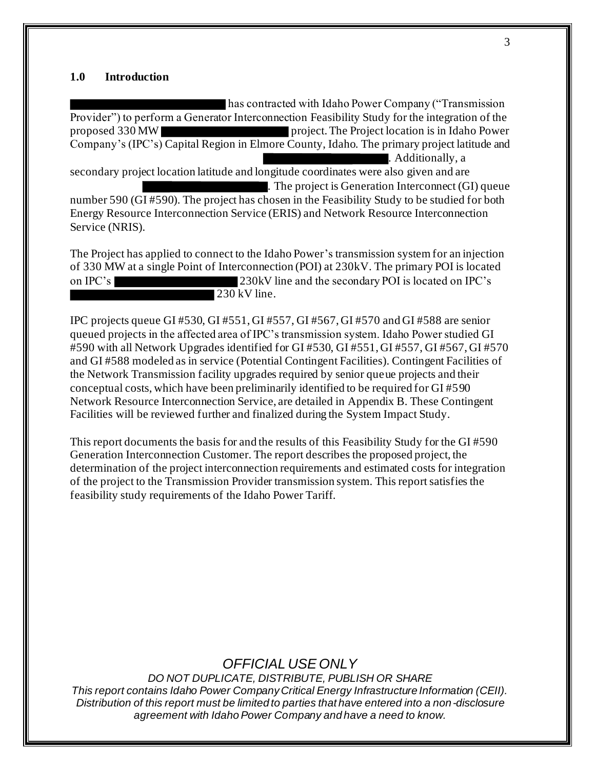#### **1.0 Introduction**

has contracted with Idaho Power Company ("Transmission Provider") to perform a Generator Interconnection Feasibility Study for the integration of the proposed 330 MW project. The Project location is in Idaho Power Company's (IPC's) Capital Region in Elmore County, Idaho. The primary project latitude and . Additionally, a secondary project location latitude and longitude coordinates were also given and are . The project is Generation Interconnect (GI) queue number 590 (GI #590). The project has chosen in the Feasibility Study to be studied for both Energy Resource Interconnection Service (ERIS) and Network Resource Interconnection Service (NRIS).

The Project has applied to connect to the Idaho Power's transmission system for an injection of 330 MW at a single Point of Interconnection (POI) at 230kV. The primary POI is located on IPC's 230kV line and the secondary POI is located on IPC's 230 kV line.

IPC projects queue GI #530, GI #551, GI #557, GI #567, GI #570 and GI #588 are senior queued projects in the affected area of IPC's transmission system. Idaho Power studied GI #590 with all Network Upgrades identified for GI #530, GI #551, GI #557, GI #567, GI #570 and GI #588 modeled as in service (Potential Contingent Facilities). Contingent Facilities of the Network Transmission facility upgrades required by senior queue projects and their conceptual costs, which have been preliminarily identified to be required for GI #590 Network Resource Interconnection Service, are detailed in Appendix B. These Contingent Facilities will be reviewed further and finalized during the System Impact Study.

This report documents the basis for and the results of this Feasibility Study for the GI #590 Generation Interconnection Customer. The report describes the proposed project, the determination of the project interconnection requirements and estimated costs for integration of the project to the Transmission Provider transmission system. This report satisfies the feasibility study requirements of the Idaho Power Tariff.

## *OFFICIAL USE ONLY*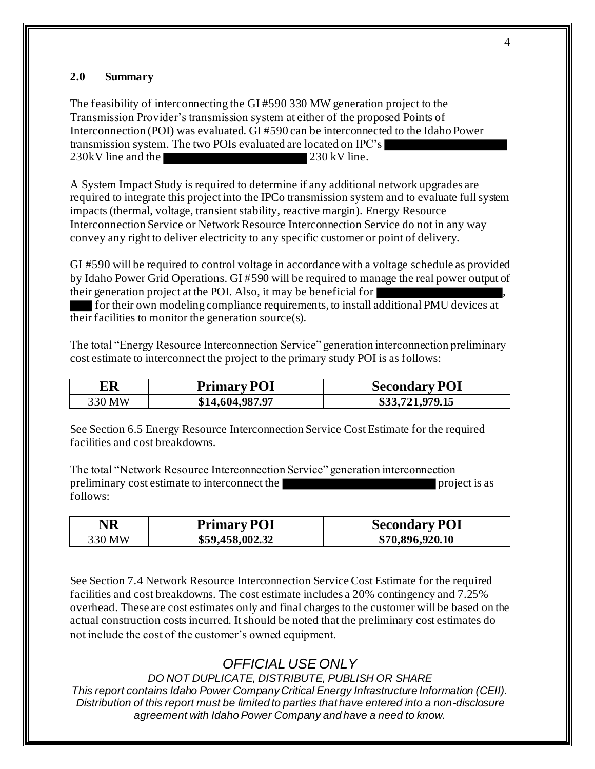### **2.0 Summary**

The feasibility of interconnecting the GI #590 330 MW generation project to the Transmission Provider's transmission system at either of the proposed Points of Interconnection (POI) was evaluated. GI #590 can be interconnected to the Idaho Power transmission system. The two POIs evaluated are located on IPC's 230 kV line and the 230 kV line.

A System Impact Study is required to determine if any additional network upgrades are required to integrate this project into the IPCo transmission system and to evaluate full system impacts (thermal, voltage, transient stability, reactive margin). Energy Resource Interconnection Service or Network Resource Interconnection Service do not in any way convey any right to deliver electricity to any specific customer or point of delivery.

GI #590 will be required to control voltage in accordance with a voltage schedule as provided by Idaho Power Grid Operations. GI #590 will be required to manage the real power output of their generation project at the POI. Also, it may be beneficial for ,

for their own modeling compliance requirements, to install additional PMU devices at their facilities to monitor the generation source(s).

The total "Energy Resource Interconnection Service" generation interconnection preliminary cost estimate to interconnect the project to the primary study POI is as follows:

| ER     | <b>Primary POI</b> | <b>Secondary POI</b> |
|--------|--------------------|----------------------|
| 330 MW | \$14,604,987.97    | \$33,721,979.15      |

See Section 6.5 Energy Resource Interconnection Service Cost Estimate for the required facilities and cost breakdowns.

The total "Network Resource Interconnection Service" generation interconnection preliminary cost estimate to interconnect the project is as follows:

| NR     | <b>Primary POI</b> | <b>Secondary POI</b> |
|--------|--------------------|----------------------|
| 330 MW | \$59,458,002.32    | \$70,896,920.10      |

See Section 7.4 Network Resource Interconnection Service Cost Estimate for the required facilities and cost breakdowns. The cost estimate includes a 20% contingency and 7.25% overhead. These are cost estimates only and final charges to the customer will be based on the actual construction costs incurred. It should be noted that the preliminary cost estimates do not include the cost of the customer's owned equipment.

# *OFFICIAL USE ONLY*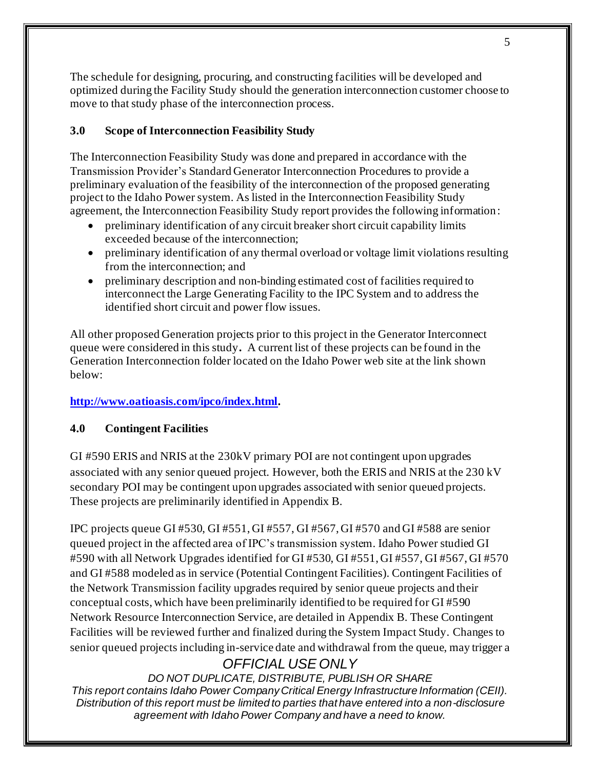The schedule for designing, procuring, and constructing facilities will be developed and optimized during the Facility Study should the generation interconnection customer choose to move to that study phase of the interconnection process.

## **3.0 Scope of Interconnection Feasibility Study**

The Interconnection Feasibility Study was done and prepared in accordance with the Transmission Provider's Standard Generator Interconnection Procedures to provide a preliminary evaluation of the feasibility of the interconnection of the proposed generating project to the Idaho Power system. As listed in the Interconnection Feasibility Study agreement, the Interconnection Feasibility Study report provides the following information:

- preliminary identification of any circuit breaker short circuit capability limits exceeded because of the interconnection;
- preliminary identification of any thermal overload or voltage limit violations resulting from the interconnection; and
- preliminary description and non-binding estimated cost of facilities required to interconnect the Large Generating Facility to the IPC System and to address the identified short circuit and power flow issues.

All other proposed Generation projects prior to this project in the Generator Interconnect queue were considered in this study**.** A current list of these projects can be found in the Generation Interconnection folder located on the Idaho Power web site at the link shown below:

## **http://www.oatioasis.com/ipco/index.html.**

### **4.0 Contingent Facilities**

GI #590 ERIS and NRIS at the 230kV primary POI are not contingent upon upgrades associated with any senior queued project. However, both the ERIS and NRIS at the 230 kV secondary POI may be contingent upon upgrades associated with senior queued projects. These projects are preliminarily identified in Appendix B.

IPC projects queue GI #530, GI #551, GI #557, GI #567, GI #570 and GI #588 are senior queued project in the affected area of IPC's transmission system. Idaho Power studied GI #590 with all Network Upgrades identified for GI #530, GI #551, GI #557, GI #567, GI #570 and GI #588 modeled as in service (Potential Contingent Facilities). Contingent Facilities of the Network Transmission facility upgrades required by senior queue projects and their conceptual costs, which have been preliminarily identified to be required for GI #590 Network Resource Interconnection Service, are detailed in Appendix B. These Contingent Facilities will be reviewed further and finalized during the System Impact Study. Changes to senior queued projects including in-service date and withdrawal from the queue, may trigger a

# *OFFICIAL USE ONLY*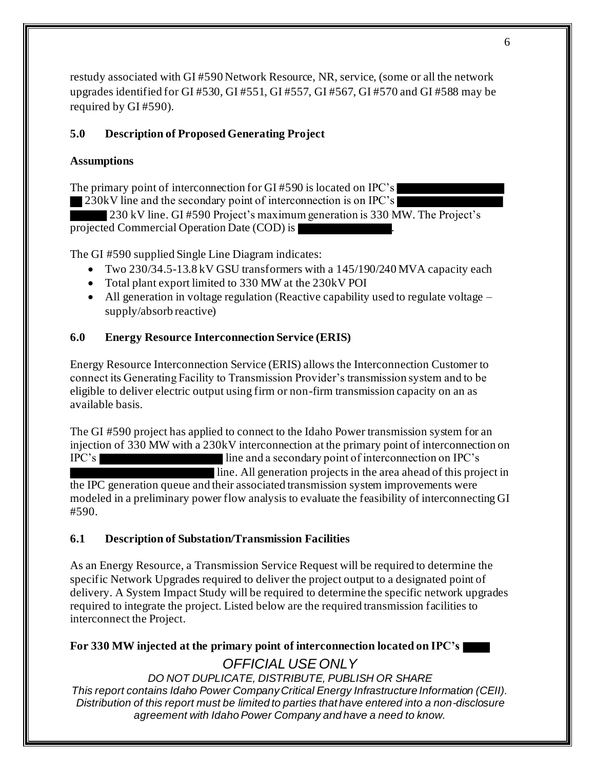restudy associated with GI #590 Network Resource, NR, service, (some or all the network upgrades identified for GI #530, GI #551, GI #557, GI #567, GI #570 and GI #588 may be required by GI #590).

## **5.0 Description of Proposed Generating Project**

## **Assumptions**

The primary point of interconnection for GI #590 is located on IPC's

230kV line and the secondary point of interconnection is on IPC's

230 kV line. GI #590 Project's maximum generation is 330 MW. The Project's projected Commercial Operation Date (COD) is .

The GI #590 supplied Single Line Diagram indicates:

- Two 230/34.5-13.8 kV GSU transformers with a 145/190/240 MVA capacity each
- Total plant export limited to 330 MW at the 230kV POI
- All generation in voltage regulation (Reactive capability used to regulate voltage supply/absorb reactive)

## **6.0 Energy Resource Interconnection Service (ERIS)**

Energy Resource Interconnection Service (ERIS) allows the Interconnection Customer to connect its Generating Facility to Transmission Provider's transmission system and to be eligible to deliver electric output using firm or non-firm transmission capacity on an as available basis.

The GI #590 project has applied to connect to the Idaho Power transmission system for an injection of 330 MW with a 230kV interconnection at the primary point of interconnection on IPC's line and a secondary point of interconnection on IPC's line. All generation projects in the area ahead of this project in the IPC generation queue and their associated transmission system improvements were modeled in a preliminary power flow analysis to evaluate the feasibility of interconnecting GI #590.

## **6.1 Description of Substation/Transmission Facilities**

As an Energy Resource, a Transmission Service Request will be required to determine the specific Network Upgrades required to deliver the project output to a designated point of delivery. A System Impact Study will be required to determine the specific network upgrades required to integrate the project. Listed below are the required transmission facilities to interconnect the Project.

## *OFFICIAL USE ONLY* **For 330 MW injected at the primary point of interconnection located on IPC's**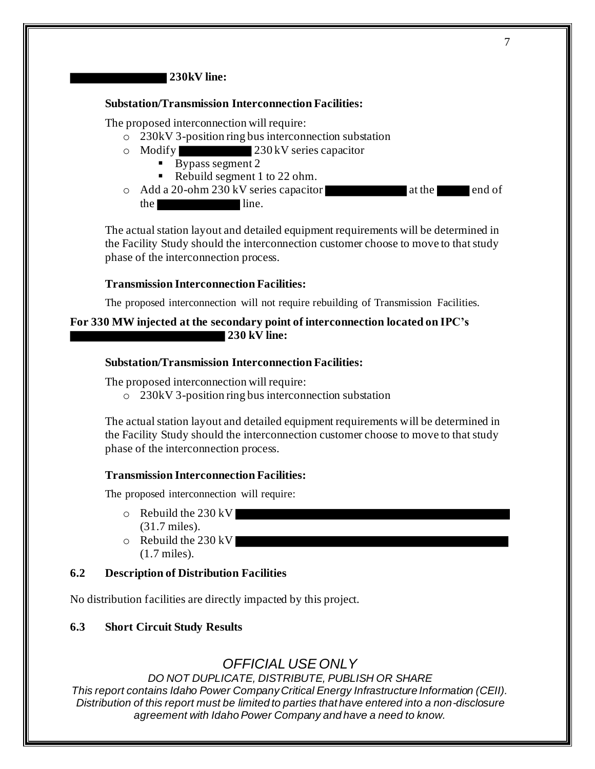### **230kV line:**

#### **Substation/Transmission Interconnection Facilities:**

The proposed interconnection will require:

- o 230kV 3-position ring bus interconnection substation
- o Modify 230 kV series capacitor
	- $\blacksquare$  Bypass segment 2
	- Rebuild segment 1 to 22 ohm.
- $\circ$  Add a 20-ohm 230 kV series capacitor at the end of the line.

The actual station layout and detailed equipment requirements will be determined in the Facility Study should the interconnection customer choose to move to that study phase of the interconnection process.

#### **Transmission Interconnection Facilities:**

The proposed interconnection will not require rebuilding of Transmission Facilities.

### **For 330 MW injected at the secondary point of interconnection located on IPC's 230 kV line:**

#### **Substation/Transmission Interconnection Facilities:**

The proposed interconnection will require:

o 230kV 3-position ring bus interconnection substation

The actual station layout and detailed equipment requirements will be determined in the Facility Study should the interconnection customer choose to move to that study phase of the interconnection process.

#### **Transmission Interconnection Facilities:**

The proposed interconnection will require:

- o Rebuild the 230 kV (31.7 miles).
- o Rebuild the 230 kV
	- (1.7 miles).

### **6.2 Description of Distribution Facilities**

No distribution facilities are directly impacted by this project.

### **6.3 Short Circuit Study Results**

## *OFFICIAL USE ONLY*

*DO NOT DUPLICATE, DISTRIBUTE, PUBLISH OR SHARE This report contains Idaho Power Company Critical Energy Infrastructure Information (CEII). Distribution of this report must be limited to parties that have entered into a non-disclosure* 

*agreement with Idaho Power Company and have a need to know.*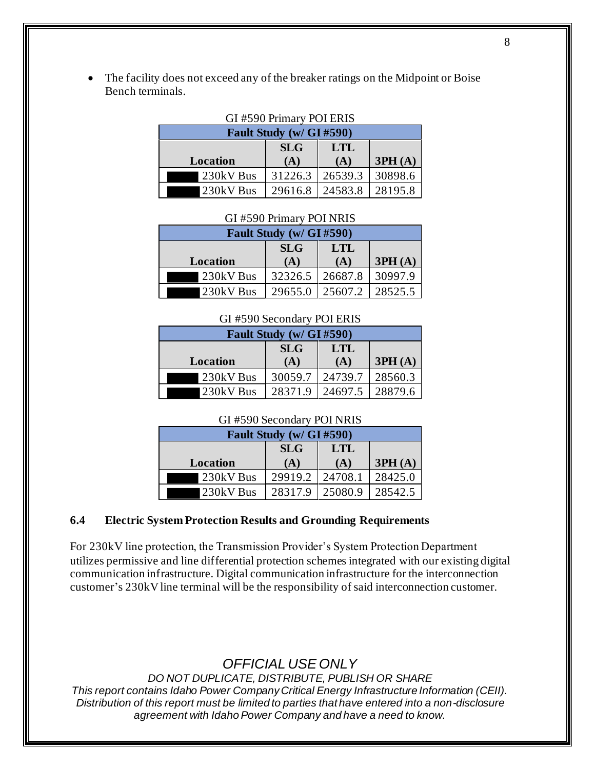The facility does not exceed any of the breaker ratings on the Midpoint or Boise Bench terminals.

| GI #590 Primary POI ERIS |         |         |         |  |
|--------------------------|---------|---------|---------|--|
| Fault Study (w/ GI #590) |         |         |         |  |
| <b>SLG</b><br><b>LTL</b> |         |         |         |  |
| Location                 | (A)     | (A)     | 3PH(A)  |  |
| 230kV Bus                | 31226.3 | 26539.3 | 30898.6 |  |
| 230kV Bus                | 29616.8 | 24583.8 | 28195.8 |  |

#### **Fault Study (w/ GI #590) Location SLG (A) LTL (A) 3PH (A)** 230kV Bus 32326.5 26687.8 30997.9 230kV Bus 29655.0 25607.2 28525.5

### GI #590 Primary POI NRIS

### GI #590 Secondary POI ERIS

| Fault Study (w/ GI #590) |         |         |         |  |
|--------------------------|---------|---------|---------|--|
| <b>SLG</b><br><b>LTL</b> |         |         |         |  |
| Location                 | (A)     | (A)     | 3PH(A)  |  |
| 230kV Bus                | 30059.7 | 24739.7 | 28560.3 |  |
| 230kV Bus                | 28371.9 | 24697.5 | 28879.6 |  |

#### GI #590 Secondary POI NRIS

| Fault Study (w/ GI #590) |         |         |         |  |
|--------------------------|---------|---------|---------|--|
| <b>SLG</b><br><b>LTL</b> |         |         |         |  |
| Location                 | (A)     | (A)     | 3PH(A)  |  |
| 230kV Bus                | 29919.2 | 24708.1 | 28425.0 |  |
| 230kV Bus                | 28317.9 | 25080.9 | 28542.5 |  |

### **6.4 Electric System Protection Results and Grounding Requirements**

For 230kV line protection, the Transmission Provider's System Protection Department utilizes permissive and line differential protection schemes integrated with our existing digital communication infrastructure. Digital communication infrastructure for the interconnection customer's 230kV line terminal will be the responsibility of said interconnection customer.

*OFFICIAL USE ONLY*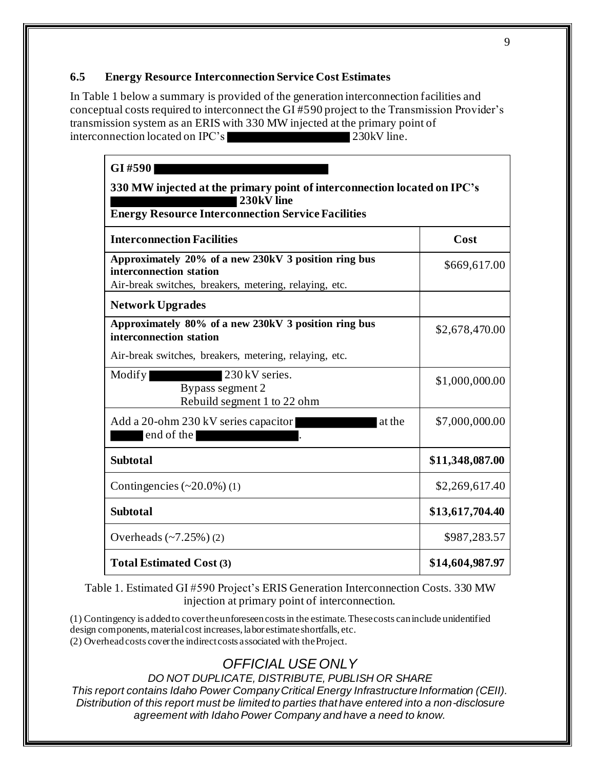### **6.5 Energy Resource Interconnection Service Cost Estimates**

In Table 1 below a summary is provided of the generation interconnection facilities and conceptual costs required to interconnect the GI #590 project to the Transmission Provider's transmission system as an ERIS with 330 MW injected at the primary point of interconnection located on IPC's 230kV line.

| GI#590                                                                                                                                              |                 |  |
|-----------------------------------------------------------------------------------------------------------------------------------------------------|-----------------|--|
| 330 MW injected at the primary point of interconnection located on IPC's<br>230kV line<br><b>Energy Resource Interconnection Service Facilities</b> |                 |  |
|                                                                                                                                                     |                 |  |
| Approximately 20% of a new 230kV 3 position ring bus<br>interconnection station<br>Air-break switches, breakers, metering, relaying, etc.           | \$669,617.00    |  |
| <b>Network Upgrades</b>                                                                                                                             |                 |  |
| Approximately 80% of a new 230kV 3 position ring bus<br>interconnection station                                                                     | \$2,678,470.00  |  |
| Air-break switches, breakers, metering, relaying, etc.                                                                                              |                 |  |
| 230 kV series.<br>Modify<br>Bypass segment 2<br>Rebuild segment 1 to 22 ohm                                                                         | \$1,000,000.00  |  |
| Add a 20-ohm 230 kV series capacitor<br>at the<br>end of the                                                                                        | \$7,000,000.00  |  |
| <b>Subtotal</b>                                                                                                                                     | \$11,348,087.00 |  |
| Contingencies $(\sim 20.0\%)$ (1)                                                                                                                   | \$2,269,617.40  |  |
| <b>Subtotal</b>                                                                                                                                     | \$13,617,704.40 |  |
| Overheads $(-7.25%)(2)$                                                                                                                             | \$987,283.57    |  |
| <b>Total Estimated Cost (3)</b>                                                                                                                     | \$14,604,987.97 |  |

Table 1. Estimated GI #590 Project's ERIS Generation Interconnection Costs. 330 MW injection at primary point of interconnection.

(1) Contingency is added to cover the unforeseen costs in the estimate. These costs can include unidentified design components, material cost increases, labor estimate shortfalls, etc. (2) Overhead costs cover the indirect costs associated with the Project.

# *OFFICIAL USE ONLY*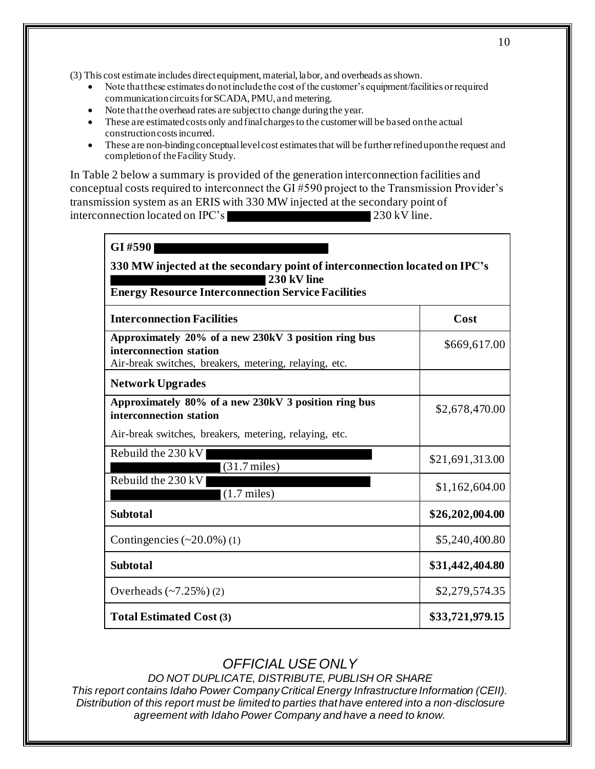(3) This cost estimate includes direct equipment, material, labor, and overheads as shown.

- Note that these estimates do not include the cost of the customer's equipment/facilities or required communication circuits for SCADA, PMU, and metering.
- Note that the overhead rates are subject to change during the year.
- These are estimated costs only and final charges to the customer will be based on the actual construction costs incurred.
- These are non-binding conceptual level cost estimates that will be further refined upon the request and completion of the Facility Study.

In Table 2 below a summary is provided of the generation interconnection facilities and conceptual costs required to interconnect the GI #590 project to the Transmission Provider's transmission system as an ERIS with 330 MW injected at the secondary point of interconnection located on IPC's 230 kV line.

| GI#590<br>330 MW injected at the secondary point of interconnection located on IPC's                                                      |                 |  |  |
|-------------------------------------------------------------------------------------------------------------------------------------------|-----------------|--|--|
|                                                                                                                                           |                 |  |  |
| <b>Interconnection Facilities</b>                                                                                                         | Cost            |  |  |
| Approximately 20% of a new 230kV 3 position ring bus<br>interconnection station<br>Air-break switches, breakers, metering, relaying, etc. | \$669,617.00    |  |  |
| <b>Network Upgrades</b>                                                                                                                   |                 |  |  |
| Approximately 80% of a new 230kV 3 position ring bus<br>interconnection station                                                           | \$2,678,470.00  |  |  |
| Air-break switches, breakers, metering, relaying, etc.                                                                                    |                 |  |  |
| Rebuild the $230 \, \text{kV}$<br>$(31.7 \text{ miles})$                                                                                  | \$21,691,313.00 |  |  |
| Rebuild the 230 kV<br>$(1.7 \text{ miles})$                                                                                               | \$1,162,604.00  |  |  |
| <b>Subtotal</b>                                                                                                                           | \$26,202,004.00 |  |  |
| Contingencies $(\sim 20.0\%)$ (1)                                                                                                         | \$5,240,400.80  |  |  |
| <b>Subtotal</b>                                                                                                                           | \$31,442,404.80 |  |  |
| Overheads $(-7.25%) (2)$                                                                                                                  | \$2,279,574.35  |  |  |
| <b>Total Estimated Cost (3)</b>                                                                                                           | \$33,721,979.15 |  |  |

## *OFFICIAL USE ONLY*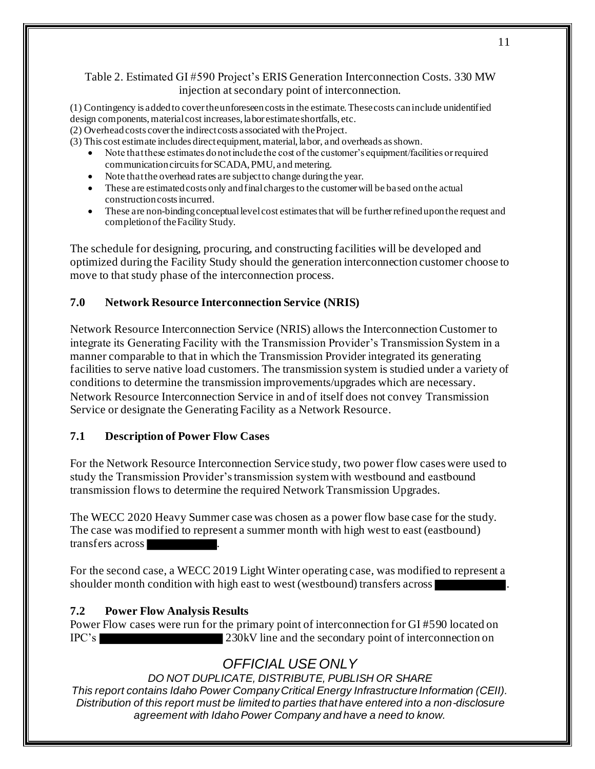### Table 2. Estimated GI #590 Project's ERIS Generation Interconnection Costs. 330 MW injection at secondary point of interconnection.

(1) Contingency is added to cover the unforeseen costs in the estimate. These costs can include unidentified design components, material cost increases, labor estimate shortfalls, etc.

(2) Overhead costs cover the indirect costs associated with the Project.

(3) This cost estimate includes direct equipment, material, labor, and overheads as shown.

- Note that these estimates do not include the cost of the customer's equipment/facilities or required communication circuits for SCADA, PMU, and metering.
- Note that the overhead rates are subject to change during the year.
- These are estimated costs only and final charges to the customer will be based on the actual construction costs incurred.
- These are non-binding conceptual level cost estimates that will be further refined upon the request and completion of the Facility Study.

The schedule for designing, procuring, and constructing facilities will be developed and optimized during the Facility Study should the generation interconnection customer choose to move to that study phase of the interconnection process.

### **7.0 Network Resource Interconnection Service (NRIS)**

Network Resource Interconnection Service (NRIS) allows the Interconnection Customer to integrate its Generating Facility with the Transmission Provider's Transmission System in a manner comparable to that in which the Transmission Provider integrated its generating facilities to serve native load customers. The transmission system is studied under a variety of conditions to determine the transmission improvements/upgrades which are necessary. Network Resource Interconnection Service in and of itself does not convey Transmission Service or designate the Generating Facility as a Network Resource.

### **7.1 Description of Power Flow Cases**

For the Network Resource Interconnection Service study, two power flow cases were used to study the Transmission Provider's transmission system with westbound and eastbound transmission flows to determine the required Network Transmission Upgrades.

The WECC 2020 Heavy Summer case was chosen as a power flow base case for the study. The case was modified to represent a summer month with high west to east (eastbound) transfers across .

For the second case, a WECC 2019 Light Winter operating case, was modified to represent a shoulder month condition with high east to west (westbound) transfers across

### **7.2 Power Flow Analysis Results**

Power Flow cases were run for the primary point of interconnection for GI #590 located on IPC's 230kV line and the secondary point of interconnection on

# *OFFICIAL USE ONLY*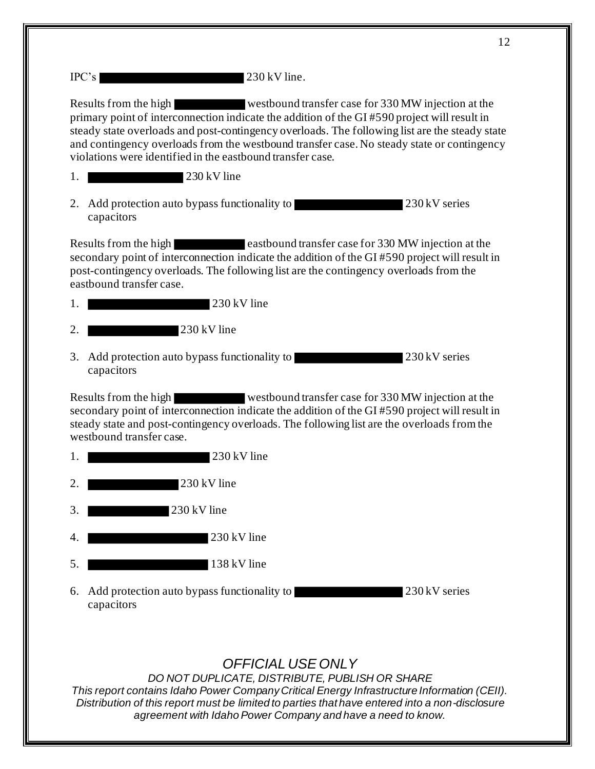| IPC's |  | 230 kV line. |
|-------|--|--------------|
|-------|--|--------------|

Results from the high westbound transfer case for 330 MW injection at the primary point of interconnection indicate the addition of the GI #590 project will result in steady state overloads and post-contingency overloads. The following list are the steady state and contingency overloads from the westbound transfer case. No steady state or contingency violations were identified in the eastbound transfer case.

- 1. 230 kV line
- 2. Add protection auto bypass functionality to 230 kV series capacitors

Results from the high eastbound transfer case for 330 MW injection at the secondary point of interconnection indicate the addition of the GI #590 project will result in post-contingency overloads. The following list are the contingency overloads from the eastbound transfer case.

1. 230 kV line

2. 230 kV line

3. Add protection auto bypass functionality to 230 kV series capacitors

Results from the high westbound transfer case for 330 MW injection at the secondary point of interconnection indicate the addition of the GI #590 project will result in steady state and post-contingency overloads. The following list are the overloads from the westbound transfer case.

- 1. **230 kV** line
- 2. **230 kV** line
- 3. 230 kV line
- 1. 230 kV line
- 5. 138 kV line
- 6. Add protection auto bypass functionality to 230 kV series capacitors

# *OFFICIAL USE ONLY*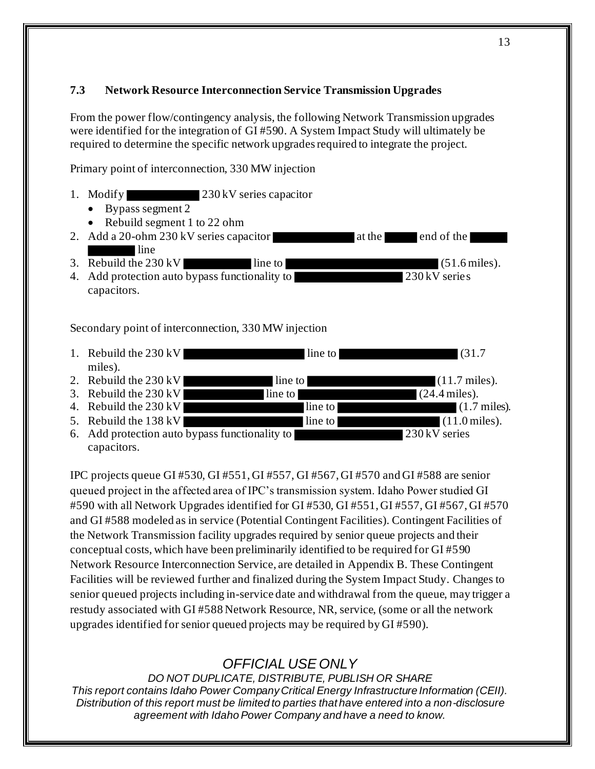### **7.3 Network Resource Interconnection Service Transmission Upgrades**

From the power flow/contingency analysis, the following Network Transmission upgrades were identified for the integration of GI #590. A System Impact Study will ultimately be required to determine the specific network upgrades required to integrate the project.

Primary point of interconnection, 330 MW injection

- 1. Modify 230 kV series capacitor
	- Bypass segment 2
	- Rebuild segment 1 to 22 ohm
- 2. Add a 20-ohm 230 kV series capacitor at the end of the **line**
- 3. Rebuild the 230 kV line to (51.6 miles).<br>4. Add protection auto bypass functionality to 230 kV series 4. Add protection auto bypass functionality to capacitors.

Secondary point of interconnection, 330 MW injection

- 1. Rebuild the 230 kV line to line to (31.7) miles). 2. Rebuild the  $230 \text{ kV}$  line to  $(11.7 \text{ miles})$ .
- 
- 3. Rebuild the  $230 \text{ kV}$  line to (24.4 miles).<br>4. Rebuild the  $230 \text{ kV}$  line to  $(1.7 \text{ kV})$ 4. Rebuild the 230 kV line to line to (1.7 miles).
- 5. Rebuild the  $138 \text{ kV}$  line to  $(11.0 \text{ miles})$ .
- 6. Add protection auto bypass functionality to 230 kV series capacitors.

IPC projects queue GI #530, GI #551, GI #557, GI #567, GI #570 and GI #588 are senior queued project in the affected area of IPC's transmission system. Idaho Power studied GI #590 with all Network Upgrades identified for GI #530, GI #551, GI #557, GI #567, GI #570 and GI #588 modeled as in service (Potential Contingent Facilities). Contingent Facilities of the Network Transmission facility upgrades required by senior queue projects and their conceptual costs, which have been preliminarily identified to be required for GI #590 Network Resource Interconnection Service, are detailed in Appendix B. These Contingent Facilities will be reviewed further and finalized during the System Impact Study. Changes to senior queued projects including in-service date and withdrawal from the queue, may trigger a restudy associated with GI #588 Network Resource, NR, service, (some or all the network upgrades identified for senior queued projects may be required by GI #590).

# *OFFICIAL USE ONLY*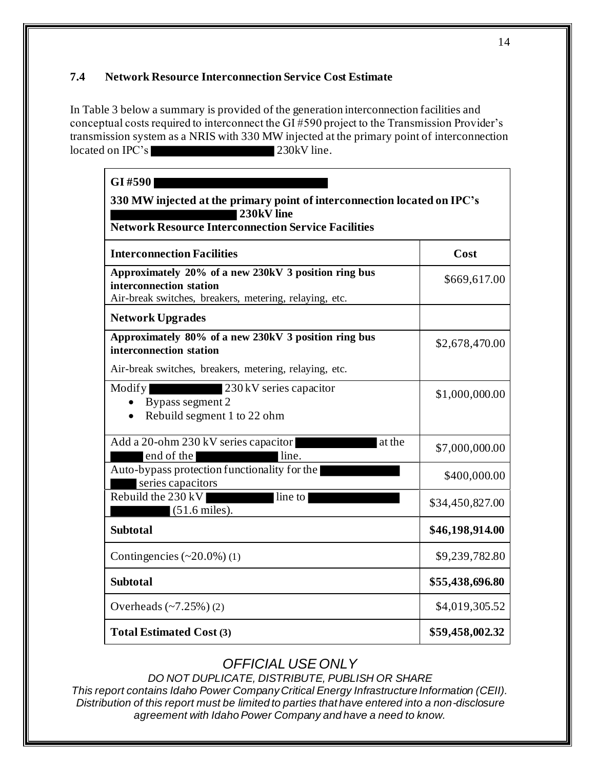### **7.4 Network Resource Interconnection Service Cost Estimate**

In Table 3 below a summary is provided of the generation interconnection facilities and conceptual costs required to interconnect the GI #590 project to the Transmission Provider's transmission system as a NRIS with 330 MW injected at the primary point of interconnection located on IPC's 230kV line.

| GI#590<br>330 MW injected at the primary point of interconnection located on IPC's<br>230kV line<br><b>Network Resource Interconnection Service Facilities</b> |                 |  |
|----------------------------------------------------------------------------------------------------------------------------------------------------------------|-----------------|--|
| <b>Interconnection Facilities</b>                                                                                                                              | Cost            |  |
| Approximately 20% of a new 230kV 3 position ring bus<br>interconnection station<br>Air-break switches, breakers, metering, relaying, etc.                      | \$669,617.00    |  |
| <b>Network Upgrades</b>                                                                                                                                        |                 |  |
| Approximately 80% of a new 230kV 3 position ring bus<br>interconnection station                                                                                | \$2,678,470.00  |  |
| Air-break switches, breakers, metering, relaying, etc.                                                                                                         |                 |  |
| 230 kV series capacitor<br>Modify<br>Bypass segment 2<br>Rebuild segment 1 to 22 ohm                                                                           | \$1,000,000.00  |  |
| Add a 20-ohm 230 kV series capacitor<br>at the<br>end of the<br>line.                                                                                          | \$7,000,000.00  |  |
| Auto-bypass protection functionality for the<br>series capacitors                                                                                              | \$400,000.00    |  |
| Rebuild the 230 kV<br>line to<br>$(51.6 \text{ miles})$ .                                                                                                      | \$34,450,827.00 |  |
| <b>Subtotal</b>                                                                                                                                                | \$46,198,914.00 |  |
| Contingencies $(\sim 20.0\%)$ (1)                                                                                                                              | \$9,239,782.80  |  |
| <b>Subtotal</b>                                                                                                                                                | \$55,438,696.80 |  |
| Overheads $(-7.25%) (2)$                                                                                                                                       | \$4,019,305.52  |  |
| <b>Total Estimated Cost (3)</b>                                                                                                                                | \$59,458,002.32 |  |

# *OFFICIAL USE ONLY*

*DO NOT DUPLICATE, DISTRIBUTE, PUBLISH OR SHARE*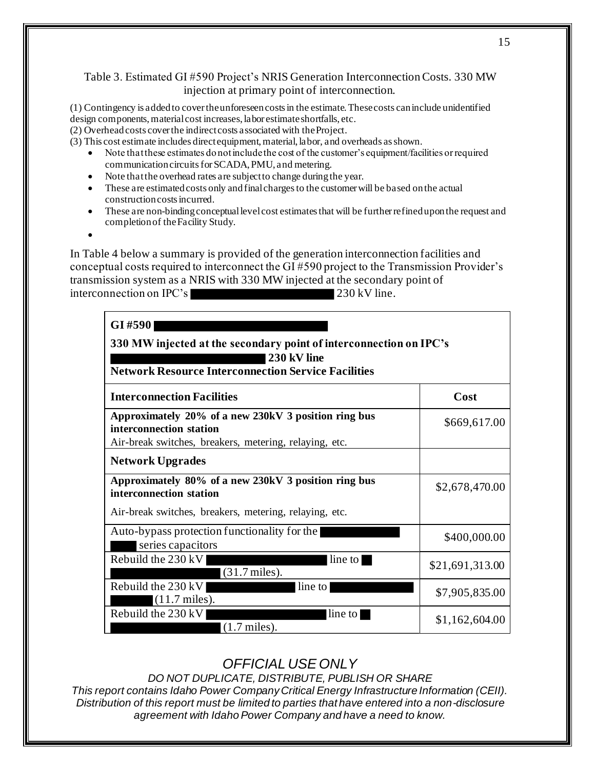### Table 3. Estimated GI #590 Project's NRIS Generation Interconnection Costs. 330 MW injection at primary point of interconnection.

(1) Contingency is added to cover the unforeseen costs in the estimate. These costs can include unidentified design components, material cost increases, labor estimate shortfalls, etc.

(2) Overhead costs cover the indirect costs associated with the Project.

(3) This cost estimate includes direct equipment, material, labor, and overheads as shown.

- Note that these estimates do not include the cost of the customer's equipment/facilities or required communication circuits for SCADA, PMU, and metering.
- Note that the overhead rates are subject to change during the year.
- These are estimated costs only and final charges to the customer will be based on the actual construction costs incurred.
- These are non-binding conceptual level cost estimates that will be further refined upon the request and completion of the Facility Study.

In Table 4 below a summary is provided of the generation interconnection facilities and conceptual costs required to interconnect the GI #590 project to the Transmission Provider's transmission system as a NRIS with 330 MW injected at the secondary point of

interconnection on IPC's 230 kV line.

•

| GI #590<br>330 MW injected at the secondary point of interconnection on IPC's<br>230 kV line<br><b>Network Resource Interconnection Service Facilities</b> |                 |  |
|------------------------------------------------------------------------------------------------------------------------------------------------------------|-----------------|--|
| <b>Interconnection Facilities</b>                                                                                                                          | Cost            |  |
| Approximately 20% of a new 230kV 3 position ring bus<br>interconnection station<br>Air-break switches, breakers, metering, relaying, etc.                  | \$669,617.00    |  |
| <b>Network Upgrades</b>                                                                                                                                    |                 |  |
| Approximately 80% of a new 230kV 3 position ring bus<br>interconnection station                                                                            | \$2,678,470.00  |  |
| Air-break switches, breakers, metering, relaying, etc.                                                                                                     |                 |  |
| Auto-bypass protection functionality for the<br>series capacitors                                                                                          | \$400,000.00    |  |
| Rebuild the $230 \, \text{kV}$<br>line to<br>$(31.7 \text{ miles})$ .                                                                                      | \$21,691,313.00 |  |
| Rebuild the 230 kV<br>line to<br>$(11.7 \text{ miles}).$                                                                                                   | \$7,905,835.00  |  |
| Rebuild the $230 \, \text{kV}$<br>line to<br>$(1.7 \text{ miles})$ .                                                                                       | \$1,162,604.00  |  |

# *OFFICIAL USE ONLY*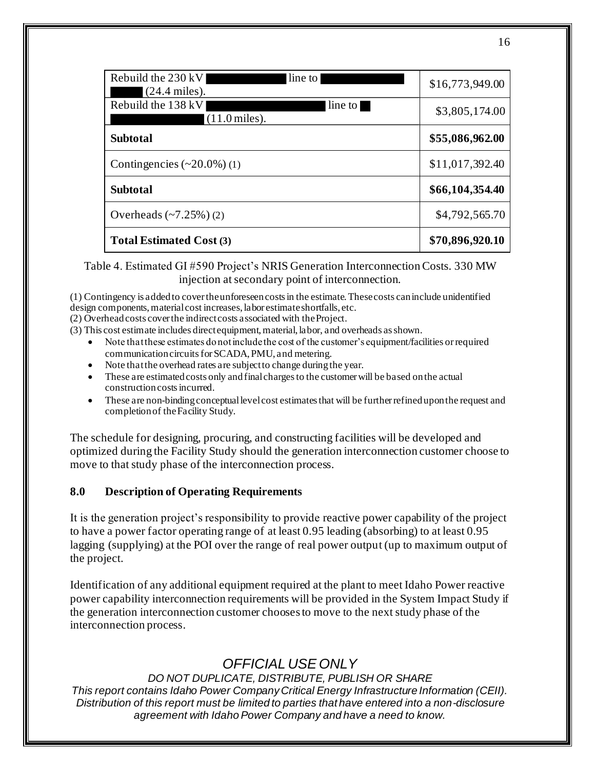| Rebuild the $230 \,\mathrm{kV}$<br>line to<br>$(24.4 \text{ miles})$ . | \$16,773,949.00 |
|------------------------------------------------------------------------|-----------------|
| Rebuild the 138 kV<br>line to<br>$(11.0 \,\mathrm{miles})$ .           | \$3,805,174.00  |
| <b>Subtotal</b>                                                        | \$55,086,962.00 |
| Contingencies $(\sim 20.0\%)$ (1)                                      | \$11,017,392.40 |
| <b>Subtotal</b>                                                        | \$66,104,354.40 |
| Overheads $(-7.25%) (2)$                                               | \$4,792,565.70  |
| <b>Total Estimated Cost (3)</b>                                        | \$70,896,920.10 |

### Table 4. Estimated GI #590 Project's NRIS Generation Interconnection Costs. 330 MW injection at secondary point of interconnection.

(1) Contingency is added to cover the unforeseen costs in the estimate. These costs can include unidentified design components, material cost increases, labor estimate shortfalls, etc.

(2) Overhead costs cover the indirect costs associated with the Project.

- (3) This cost estimate includes direct equipment, material, labor, and overheads as shown.
	- Note that these estimates do not include the cost of the customer's equipment/facilities or required communication circuits for SCADA, PMU, and metering.
	- Note that the overhead rates are subject to change during the year.
	- These are estimated costs only and final charges to the customer will be based on the actual construction costs incurred.
	- These are non-binding conceptual level cost estimates that will be further refined upon the request and completion of the Facility Study.

The schedule for designing, procuring, and constructing facilities will be developed and optimized during the Facility Study should the generation interconnection customer choose to move to that study phase of the interconnection process.

### **8.0 Description of Operating Requirements**

It is the generation project's responsibility to provide reactive power capability of the project to have a power factor operating range of at least 0.95 leading (absorbing) to at least 0.95 lagging (supplying) at the POI over the range of real power output (up to maximum output of the project.

Identification of any additional equipment required at the plant to meet Idaho Power reactive power capability interconnection requirements will be provided in the System Impact Study if the generation interconnection customer choosesto move to the next study phase of the interconnection process.

# *OFFICIAL USE ONLY*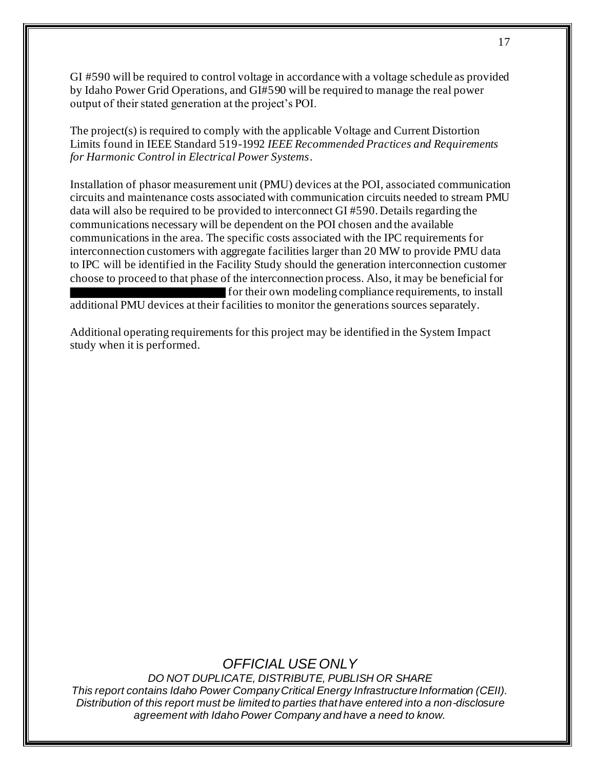GI #590 will be required to control voltage in accordance with a voltage schedule as provided by Idaho Power Grid Operations, and GI#590 will be required to manage the real power output of their stated generation at the project's POI.

The project(s) is required to comply with the applicable Voltage and Current Distortion Limits found in IEEE Standard 519-1992 *IEEE Recommended Practices and Requirements for Harmonic Control in Electrical Power Systems*.

Installation of phasor measurement unit (PMU) devices at the POI, associated communication circuits and maintenance costs associated with communication circuits needed to stream PMU data will also be required to be provided to interconnect GI #590. Details regarding the communications necessary will be dependent on the POI chosen and the available communications in the area. The specific costs associated with the IPC requirements for interconnection customers with aggregate facilities larger than 20 MW to provide PMU data to IPC will be identified in the Facility Study should the generation interconnection customer choose to proceed to that phase of the interconnection process. Also, it may be beneficial for for their own modeling compliance requirements, to install additional PMU devices at their facilities to monitor the generations sources separately.

Additional operating requirements for this project may be identified in the System Impact study when it is performed.

### *OFFICIAL USE ONLY*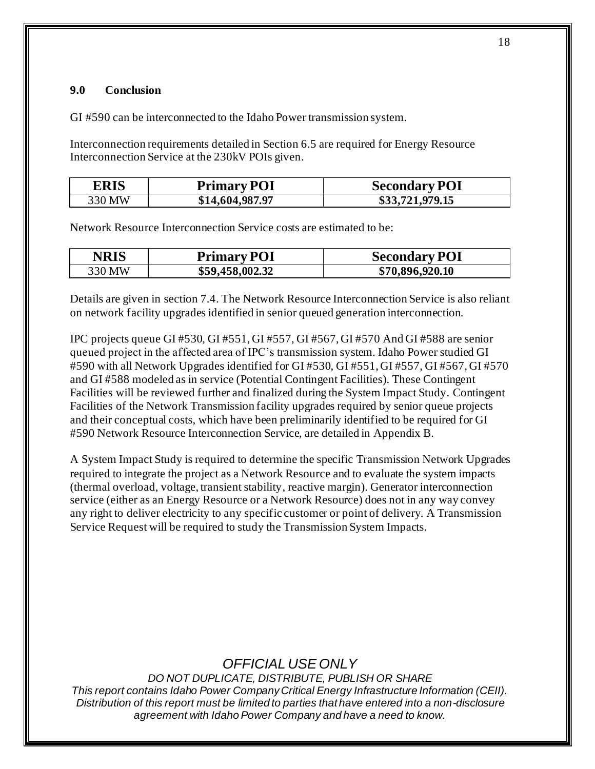### **9.0 Conclusion**

GI #590 can be interconnected to the Idaho Power transmission system.

Interconnection requirements detailed in Section 6.5 are required for Energy Resource Interconnection Service at the 230kV POIs given.

| <b>ERIS</b> | <b>Primary POI</b> | <b>Secondary POI</b> |
|-------------|--------------------|----------------------|
| 330 MW      | \$14,604,987.97    | \$33,721,979.15      |

Network Resource Interconnection Service costs are estimated to be:

| <b>NRIS</b> | <b>Primary POI</b> | <b>Secondary POI</b> |
|-------------|--------------------|----------------------|
| 330 MW      | \$59,458,002.32    | \$70,896,920.10      |

Details are given in section 7.4. The Network Resource Interconnection Service is also reliant on network facility upgrades identified in senior queued generation interconnection.

IPC projects queue GI #530, GI #551, GI #557, GI #567, GI #570 And GI #588 are senior queued project in the affected area of IPC's transmission system. Idaho Power studied GI #590 with all Network Upgrades identified for GI #530, GI #551, GI #557, GI #567, GI #570 and GI #588 modeled as in service (Potential Contingent Facilities). These Contingent Facilities will be reviewed further and finalized during the System Impact Study. Contingent Facilities of the Network Transmission facility upgrades required by senior queue projects and their conceptual costs, which have been preliminarily identified to be required for GI #590 Network Resource Interconnection Service, are detailed in Appendix B.

A System Impact Study is required to determine the specific Transmission Network Upgrades required to integrate the project as a Network Resource and to evaluate the system impacts (thermal overload, voltage, transient stability, reactive margin). Generator interconnection service (either as an Energy Resource or a Network Resource) does not in any way convey any right to deliver electricity to any specific customer or point of delivery. A Transmission Service Request will be required to study the Transmission System Impacts.

# *OFFICIAL USE ONLY*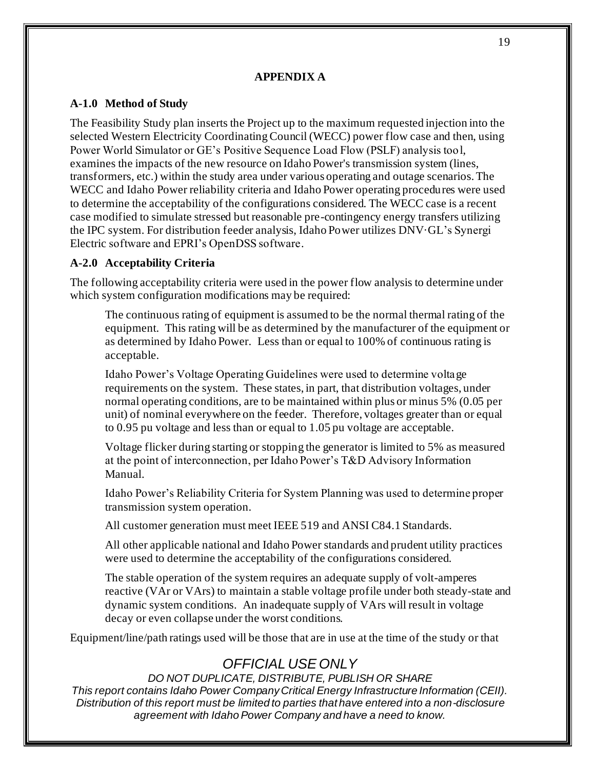#### **APPENDIX A**

### **A-1.0 Method of Study**

The Feasibility Study plan inserts the Project up to the maximum requested injection into the selected Western Electricity Coordinating Council (WECC) power flow case and then, using Power World Simulator or GE's Positive Sequence Load Flow (PSLF) analysis tool, examines the impacts of the new resource on Idaho Power's transmission system (lines, transformers, etc.) within the study area under various operating and outage scenarios. The WECC and Idaho Power reliability criteria and Idaho Power operating procedures were used to determine the acceptability of the configurations considered. The WECC case is a recent case modified to simulate stressed but reasonable pre-contingency energy transfers utilizing the IPC system. For distribution feeder analysis, Idaho Power utilizes DNV·GL's Synergi Electric software and EPRI's OpenDSS software.

### **A-2.0 Acceptability Criteria**

The following acceptability criteria were used in the power flow analysis to determine under which system configuration modifications may be required:

The continuous rating of equipment is assumed to be the normal thermal rating of the equipment. This rating will be as determined by the manufacturer of the equipment or as determined by Idaho Power. Less than or equal to 100% of continuous rating is acceptable.

Idaho Power's Voltage Operating Guidelines were used to determine voltage requirements on the system. These states, in part, that distribution voltages, under normal operating conditions, are to be maintained within plus or minus 5% (0.05 per unit) of nominal everywhere on the feeder. Therefore, voltages greater than or equal to 0.95 pu voltage and less than or equal to 1.05 pu voltage are acceptable.

Voltage flicker during starting or stopping the generator is limited to 5% as measured at the point of interconnection, per Idaho Power's T&D Advisory Information Manual.

Idaho Power's Reliability Criteria for System Planning was used to determine proper transmission system operation.

All customer generation must meet IEEE 519 and ANSI C84.1 Standards.

All other applicable national and Idaho Power standards and prudent utility practices were used to determine the acceptability of the configurations considered.

The stable operation of the system requires an adequate supply of volt-amperes reactive (VAr or VArs) to maintain a stable voltage profile under both steady-state and dynamic system conditions. An inadequate supply of VArs will result in voltage decay or even collapse under the worst conditions.

Equipment/line/path ratings used will be those that are in use at the time of the study or that

# *OFFICIAL USE ONLY*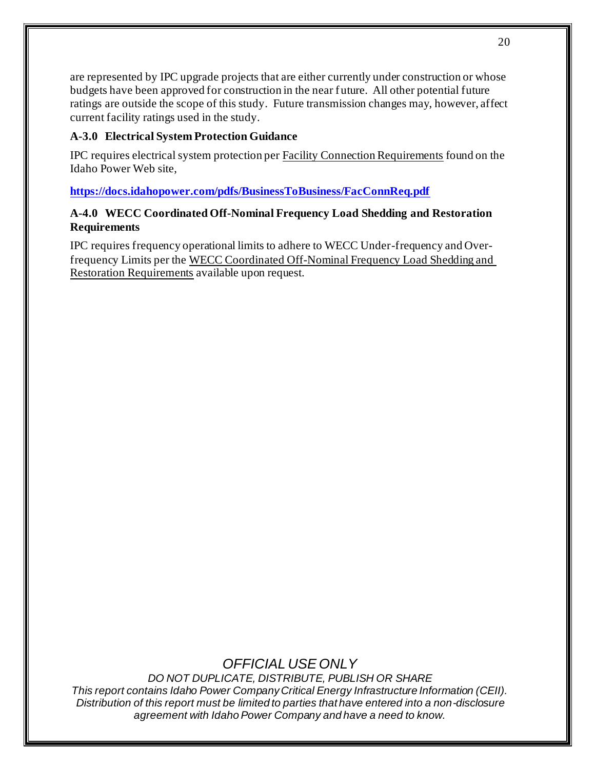are represented by IPC upgrade projects that are either currently under construction or whose budgets have been approved for construction in the near future. All other potential future ratings are outside the scope of this study. Future transmission changes may, however, affect current facility ratings used in the study.

### **A-3.0 Electrical System Protection Guidance**

IPC requires electrical system protection per Facility Connection Requirements found on the Idaho Power Web site,

**https://docs.idahopower.com/pdfs/BusinessToBusiness/FacConnReq.pdf**

### **A-4.0 WECC Coordinated Off-Nominal Frequency Load Shedding and Restoration Requirements**

IPC requires frequency operational limits to adhere to WECC Under-frequency and Overfrequency Limits per the WECC Coordinated Off-Nominal Frequency Load Shedding and Restoration Requirements available upon request.

# *OFFICIAL USE ONLY*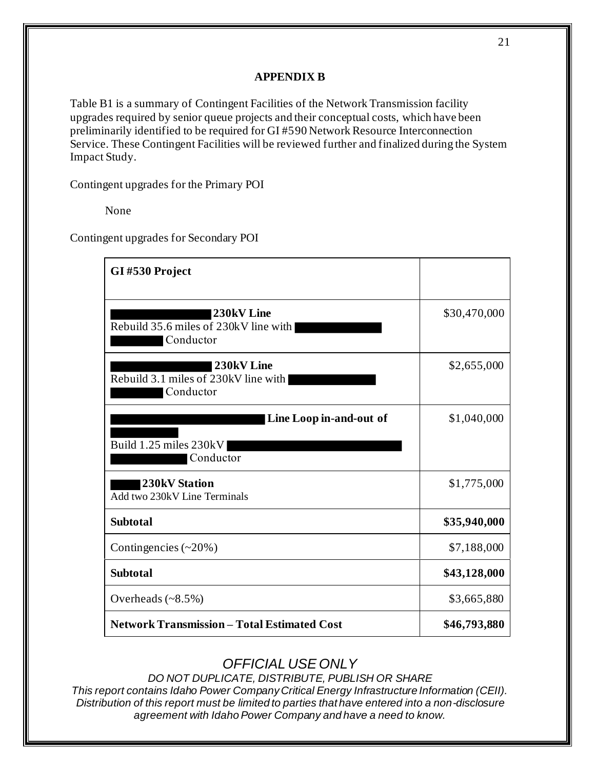### **APPENDIX B**

Table B1 is a summary of Contingent Facilities of the Network Transmission facility upgrades required by senior queue projects and their conceptual costs, which have been preliminarily identified to be required for GI #590 Network Resource Interconnection Service. These Contingent Facilities will be reviewed further and finalized during the System Impact Study.

Contingent upgrades for the Primary POI

None

Contingent upgrades for Secondary POI

| GI#530 Project                                                   |              |  |
|------------------------------------------------------------------|--------------|--|
| 230kV Line<br>Rebuild 35.6 miles of 230kV line with<br>Conductor | \$30,470,000 |  |
| 230kV Line<br>Rebuild 3.1 miles of 230kV line with<br>Conductor  | \$2,655,000  |  |
| Line Loop in-and-out of<br>Build 1.25 miles 230kV<br>Conductor   | \$1,040,000  |  |
| <b>230kV Station</b><br>Add two 230kV Line Terminals             | \$1,775,000  |  |
| <b>Subtotal</b>                                                  | \$35,940,000 |  |
| Contingencies $(\sim 20\%)$                                      | \$7,188,000  |  |
| <b>Subtotal</b>                                                  | \$43,128,000 |  |
| Overheads $(\sim 8.5\%)$                                         | \$3,665,880  |  |
| <b>Network Transmission - Total Estimated Cost</b>               | \$46,793,880 |  |

# *OFFICIAL USE ONLY*